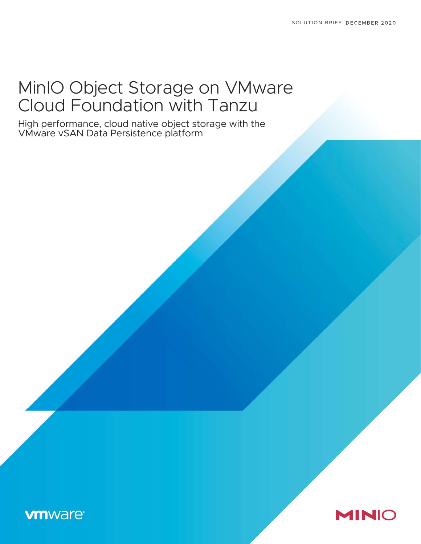# MinIO Object Storage on VMware Cloud Foundation with Tanzu

High performance, cloud native object storage with the VMware vSAN Data Persistence platform

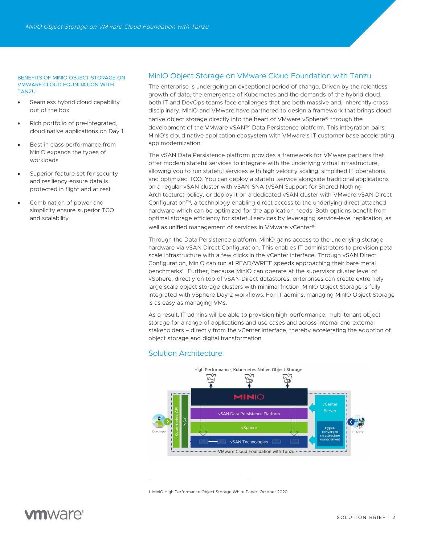#### BENEFITS OF MINIO OBJECT STORAGE ON VMWARE CLOUD FOUNDATION WITH TANZU

- Seamless hybrid cloud capability out of the box
- Rich portfolio of pre-integrated, cloud native applications on Day 1
- Best in class performance from MinIO expands the types of workloads
- Superior feature set for security and resiliency ensure data is protected in flight and at rest
- Combination of power and simplicity ensure superior TCO and scalability

### MinIO Object Storage on VMware Cloud Foundation with Tanzu

The enterprise is undergoing an exceptional period of change. Driven by the relentless growth of data, the emergence of Kubernetes and the demands of the hybrid cloud, both IT and DevOps teams face challenges that are both massive and, inherently cross disciplinary. MinIO and VMware have partnered to design a framework that brings cloud native object storage directly into the heart of VMware vSphere® through the development of the VMware vSAN<sup>TM</sup> Data Persistence platform. This integration pairs MinIO's cloud native application ecosystem with VMware's IT customer base accelerating app modernization.

The vSAN Data Persistence platform provides a framework for VMware partners that offer modern stateful services to integrate with the underlying virtual infrastructure, allowing you to run stateful services with high velocity scaling, simplified IT operations, and optimized TCO. You can deploy a stateful service alongside traditional applications on a regular vSAN cluster with vSAN-SNA (vSAN Support for Shared Nothing Architecture) policy, or deploy it on a dedicated vSAN cluster with VMware vSAN Direct Configuration™, a technology enabling direct access to the underlying direct-attached hardware which can be optimized for the application needs. Both options benefit from optimal storage efficiency for stateful services by leveraging service-level replication, as well as unified management of services in VMware vCenter®.

Through the Data Persistence platform, MinIO gains access to the underlying storage hardware via vSAN Direct Configuration. This enables IT administrators to provision petascale infrastructure with a few clicks in the vCenter interface. Through vSAN Direct Configuration, MinIO can run at READ/WRITE speeds approaching their bare metal benchmarks<sup>1</sup> . Further, because MinIO can operate at the supervisor cluster level of vSphere, directly on top of vSAN Direct datastores, enterprises can create extremely large scale object storage clusters with minimal friction. MinIO Object Storage is fully integrated with vSphere Day 2 workflows. For IT admins, managing MinIO Object Storage is as easy as managing VMs.

As a result, IT admins will be able to provision high-performance, multi-tenant object storage for a range of applications and use cases and across internal and external stakeholders – directly from the vCenter interface, thereby accelerating the adoption of object storage and digital transformation.

### Solution Architecture



1. MinIO High Performance Object Storage White Paper, October 2020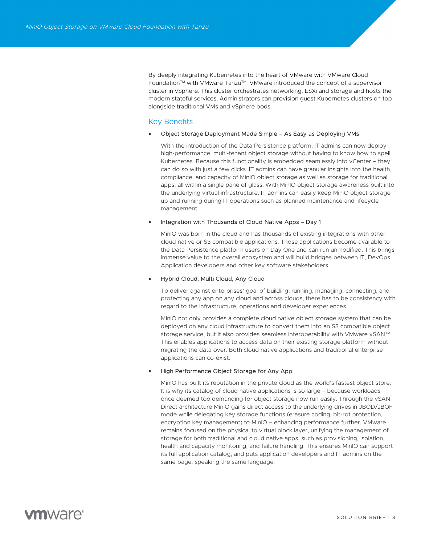By deeply integrating Kubernetes into the heart of VMware with VMware Cloud Foundation™ with VMware Tanzu™, VMware introduced the concept of a supervisor cluster in vSphere. This cluster orchestrates networking, ESXi and storage and hosts the modern stateful services. Administrators can provision guest Kubernetes clusters on top alongside traditional VMs and vSphere pods.

### Key Benefits

### Object Storage Deployment Made Simple – As Easy as Deploying VMs

With the introduction of the Data Persistence platform, IT admins can now deploy high-performance, multi-tenant object storage without having to know how to spell Kubernetes. Because this functionality is embedded seamlessly into vCenter – they can do so with just a few clicks. IT admins can have granular insights into the health, compliance, and capacity of MinIO object storage as well as storage for traditional apps, all within a single pane of glass. With MinIO object storage awareness built into the underlying virtual infrastructure, IT admins can easily keep MinIO object storage up and running during IT operations such as planned maintenance and lifecycle management.

### Integration with Thousands of Cloud Native Apps – Day 1

MinIO was born in the cloud and has thousands of existing integrations with other cloud native or S3 compatible applications. Those applications become available to the Data Persistence platform users on Day One and can run unmodified. This brings immense value to the overall ecosystem and will build bridges between IT, DevOps, Application developers and other key software stakeholders.

#### Hybrid Cloud, Multi Cloud, Any Cloud

To deliver against enterprises' goal of building, running, managing, connecting, and protecting any app on any cloud and across clouds, there has to be consistency with regard to the infrastructure, operations and developer experiences.

MinIO not only provides a complete cloud native object storage system that can be deployed on any cloud infrastructure to convert them into an S3 compatible object storage service, but it also provides seamless interoperability with VMware vSAN™. This enables applications to access data on their existing storage platform without migrating the data over. Both cloud native applications and traditional enterprise applications can co-exist.

### High Performance Object Storage for Any App

MinIO has built its reputation in the private cloud as the world's fastest object store. It is why its catalog of cloud native applications is so large – because workloads once deemed too demanding for object storage now run easily. Through the vSAN Direct architecture MinIO gains direct access to the underlying drives in JBOD/JBOF mode while delegating key storage functions (erasure coding, bit-rot protection, encryption key management) to MinIO – enhancing performance further. VMware remains focused on the physical to virtual block layer, unifying the management of storage for both traditional and cloud native apps, such as provisioning, isolation, health and capacity monitoring, and failure handling. This ensures MinIO can support its full application catalog, and puts application developers and IT admins on the same page, speaking the same language.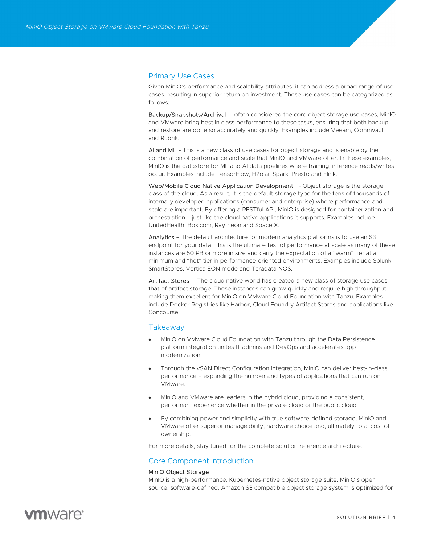### Primary Use Cases

Given MinIO's performance and scalability attributes, it can address a broad range of use cases, resulting in superior return on investment. These use cases can be categorized as follows:

Backup/Snapshots/Archival – often considered the core object storage use cases, MinIO and VMware bring best in class performance to these tasks, ensuring that both backup and restore are done so accurately and quickly. Examples include Veeam, Commvault and Rubrik.

AI and ML - This is a new class of use cases for object storage and is enable by the combination of performance and scale that MinIO and VMware offer. In these examples, MinIO is the datastore for ML and AI data pipelines where training, inference reads/writes occur. Examples include TensorFlow, H2o.ai, Spark, Presto and Flink.

Web/Mobile Cloud Native Application Development - Object storage is the storage class of the cloud. As a result, it is the default storage type for the tens of thousands of internally developed applications (consumer and enterprise) where performance and scale are important. By offering a RESTful API, MinIO is designed for containerization and orchestration – just like the cloud native applications it supports. Examples include UnitedHealth, Box.com, Raytheon and Space X.

Analytics – The default architecture for modern analytics platforms is to use an S3 endpoint for your data. This is the ultimate test of performance at scale as many of these instances are 50 PB or more in size and carry the expectation of a "warm" tier at a minimum and "hot" tier in performance-oriented environments. Examples include Splunk SmartStores, Vertica EON mode and Teradata NOS.

Artifact Stores – The cloud native world has created a new class of storage use cases, that of artifact storage. These instances can grow quickly and require high throughput, making them excellent for MinIO on VMware Cloud Foundation with Tanzu. Examples include Docker Registries like Harbor, Cloud Foundry Artifact Stores and applications like Concourse.

### **Takeaway**

- MinIO on VMware Cloud Foundation with Tanzu through the Data Persistence platform integration unites IT admins and DevOps and accelerates app modernization.
- Through the vSAN Direct Configuration integration, MinIO can deliver best-in-class performance – expanding the number and types of applications that can run on VMware.
- MinIO and VMware are leaders in the hybrid cloud, providing a consistent, performant experience whether in the private cloud or the public cloud.
- By combining power and simplicity with true software-defined storage, MinIO and VMware offer superior manageability, hardware choice and, ultimately total cost of ownership.

For more details, stay tuned for the complete solution reference architecture.

### Core Component Introduction

### MinIO Object Storage

MinIO is a high-performance, Kubernetes-native object storage suite. MinIO's open source, software-defined, Amazon S3 compatible object storage system is optimized for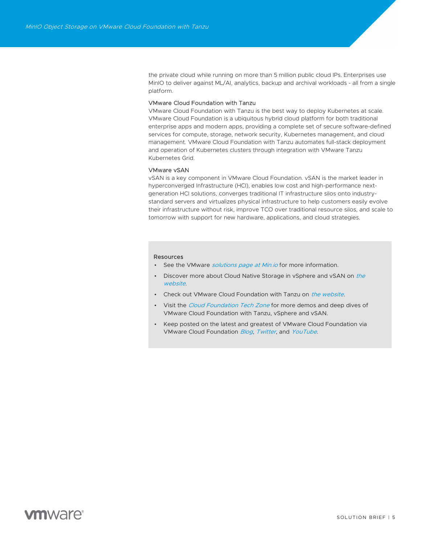the private cloud while running on more than 5 million public cloud IPs. Enterprises use MinIO to deliver against ML/AI, analytics, backup and archival workloads - all from a single platform.

### VMware Cloud Foundation with Tanzu

VMware Cloud Foundation with Tanzu is the best way to deploy Kubernetes at scale. VMware Cloud Foundation is a ubiquitous hybrid cloud platform for both traditional enterprise apps and modern apps, providing a complete set of secure software-defined services for compute, storage, network security, Kubernetes management, and cloud management. VMware Cloud Foundation with Tanzu automates full-stack deployment and operation of Kubernetes clusters through integration with VMware Tanzu Kubernetes Grid.

#### VMware vSAN

vSAN is a key component in VMware Cloud Foundation. vSAN is the market leader in hyperconverged Infrastructure (HCI), enables low cost and high-performance nextgeneration HCI solutions, converges traditional IT infrastructure silos onto industrystandard servers and virtualizes physical infrastructure to help customers easily evolve their infrastructure without risk, improve TCO over traditional resource silos, and scale to tomorrow with support for new hardware, applications, and cloud strategies.

#### Resources

- See the VMware *solutions page at Min.io* for more information.
- Discover more about Cloud Native Storage in vSphere and vSAN on the website.
- Check out VMware Cloud Foundation with Tanzu on the website.
- Visit the Cloud Foundation Tech Zone for more demos and deep dives of VMware Cloud Foundation with Tanzu, vSphere and vSAN.
- Keep posted on the latest and greatest of VMware Cloud Foundation via VMware Cloud Foundation Blog, Twitter, and YouTube.